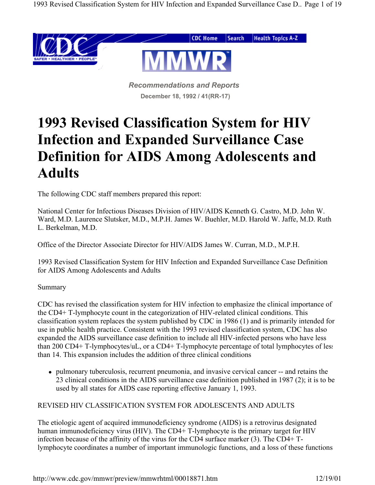

*Recommendations and Reports* **December 18, 1992 / 41(RR-17)**

# **1993 Revised Classification System for HIV Infection and Expanded Surveillance Case Definition for AIDS Among Adolescents and Adults**

The following CDC staff members prepared this report:

National Center for Infectious Diseases Division of HIV/AIDS Kenneth G. Castro, M.D. John W. Ward, M.D. Laurence Slutsker, M.D., M.P.H. James W. Buehler, M.D. Harold W. Jaffe, M.D. Ruth L. Berkelman, M.D.

Office of the Director Associate Director for HIV/AIDS James W. Curran, M.D., M.P.H.

1993 Revised Classification System for HIV Infection and Expanded Surveillance Case Definition for AIDS Among Adolescents and Adults

## Summary

CDC has revised the classification system for HIV infection to emphasize the clinical importance of the CD4+ T-lymphocyte count in the categorization of HIV-related clinical conditions. This classification system replaces the system published by CDC in 1986 (1) and is primarily intended for use in public health practice. Consistent with the 1993 revised classification system, CDC has also expanded the AIDS surveillance case definition to include all HIV-infected persons who have less than 200 CD4+ T-lymphocytes/uL, or a CD4+ T-lymphocyte percentage of total lymphocytes of less than 14. This expansion includes the addition of three clinical conditions

 pulmonary tuberculosis, recurrent pneumonia, and invasive cervical cancer -- and retains the 23 clinical conditions in the AIDS surveillance case definition published in 1987 (2); it is to be used by all states for AIDS case reporting effective January 1, 1993.

## REVISED HIV CLASSIFICATION SYSTEM FOR ADOLESCENTS AND ADULTS

The etiologic agent of acquired immunodeficiency syndrome (AIDS) is a retrovirus designated human immunodeficiency virus (HIV). The CD4+ T-lymphocyte is the primary target for HIV infection because of the affinity of the virus for the CD4 surface marker (3). The CD4+ Tlymphocyte coordinates a number of important immunologic functions, and a loss of these functions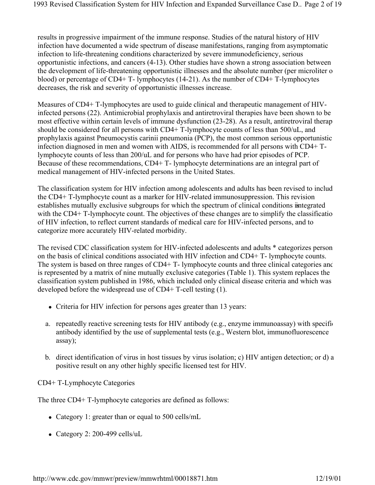results in progressive impairment of the immune response. Studies of the natural history of HIV infection have documented a wide spectrum of disease manifestations, ranging from asymptomatic infection to life-threatening conditions characterized by severe immunodeficiency, serious opportunistic infections, and cancers (4-13). Other studies have shown a strong association between the development of life-threatening opportunistic illnesses and the absolute number (per microliter o blood) or percentage of CD4+ T- lymphocytes (14-21). As the number of CD4+ T-lymphocytes decreases, the risk and severity of opportunistic illnesses increase.

Measures of CD4+ T-lymphocytes are used to guide clinical and therapeutic management of HIVinfected persons (22). Antimicrobial prophylaxis and antiretroviral therapies have been shown to be most effective within certain levels of immune dysfunction (23-28). As a result, antiretroviral therap should be considered for all persons with CD4+ T-lymphocyte counts of less than 500/uL, and prophylaxis against Pneumocystis carinii pneumonia (PCP), the most common serious opportunistic infection diagnosed in men and women with AIDS, is recommended for all persons with CD4+ Tlymphocyte counts of less than 200/uL and for persons who have had prior episodes of PCP. Because of these recommendations, CD4+ T- lymphocyte determinations are an integral part of medical management of HIV-infected persons in the United States.

The classification system for HIV infection among adolescents and adults has been revised to includ the CD4+ T-lymphocyte count as a marker for HIV-related immunosuppression. This revision establishes mutually exclusive subgroups for which the spectrum of clinical conditions integrated with the CD4+ T-lymphocyte count. The objectives of these changes are to simplify the classificatio of HIV infection, to reflect current standards of medical care for HIV-infected persons, and to categorize more accurately HIV-related morbidity.

The revised CDC classification system for HIV-infected adolescents and adults \* categorizes person on the basis of clinical conditions associated with HIV infection and CD4+ T- lymphocyte counts. The system is based on three ranges of CD4+ T- lymphocyte counts and three clinical categories and is represented by a matrix of nine mutually exclusive categories (Table 1). This system replaces the classification system published in 1986, which included only clinical disease criteria and which was developed before the widespread use of CD4+ T-cell testing (1).

- Criteria for HIV infection for persons ages greater than 13 years:
- a. repeatedly reactive screening tests for HIV antibody (e.g., enzyme immunoassay) with specific antibody identified by the use of supplemental tests (e.g., Western blot, immunofluorescence assay);
- b. direct identification of virus in host tissues by virus isolation; c) HIV antigen detection; or d) a positive result on any other highly specific licensed test for HIV.

CD4+ T-Lymphocyte Categories

The three CD4+ T-lymphocyte categories are defined as follows:

- Category 1: greater than or equal to 500 cells/mL
- Category 2: 200-499 cells/uL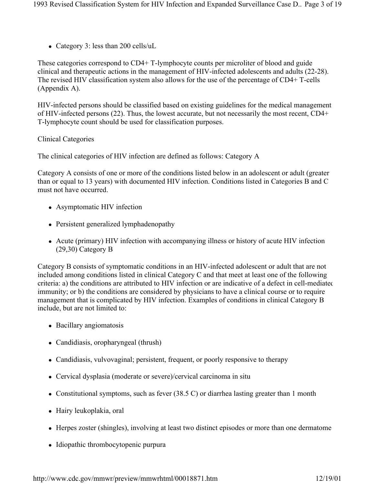• Category 3: less than 200 cells/uL

These categories correspond to CD4+ T-lymphocyte counts per microliter of blood and guide clinical and therapeutic actions in the management of HIV-infected adolescents and adults (22-28). The revised HIV classification system also allows for the use of the percentage of CD4+ T-cells (Appendix A).

HIV-infected persons should be classified based on existing guidelines for the medical management of HIV-infected persons (22). Thus, the lowest accurate, but not necessarily the most recent, CD4+ T-lymphocyte count should be used for classification purposes.

Clinical Categories

The clinical categories of HIV infection are defined as follows: Category A

Category A consists of one or more of the conditions listed below in an adolescent or adult (greater than or equal to 13 years) with documented HIV infection. Conditions listed in Categories B and C must not have occurred.

- Asymptomatic HIV infection
- Persistent generalized lymphadenopathy
- Acute (primary) HIV infection with accompanying illness or history of acute HIV infection (29,30) Category B

Category B consists of symptomatic conditions in an HIV-infected adolescent or adult that are not included among conditions listed in clinical Category C and that meet at least one of the following criteria: a) the conditions are attributed to HIV infection or are indicative of a defect in cell-mediated immunity; or b) the conditions are considered by physicians to have a clinical course or to require management that is complicated by HIV infection. Examples of conditions in clinical Category B include, but are not limited to:

- Bacillary angiomatosis
- Candidiasis, oropharyngeal (thrush)
- Candidiasis, vulvovaginal; persistent, frequent, or poorly responsive to therapy
- Cervical dysplasia (moderate or severe)/cervical carcinoma in situ
- Constitutional symptoms, such as fever (38.5 C) or diarrhea lasting greater than 1 month
- Hairy leukoplakia, oral
- Herpes zoster (shingles), involving at least two distinct episodes or more than one dermatome
- Idiopathic thrombocytopenic purpura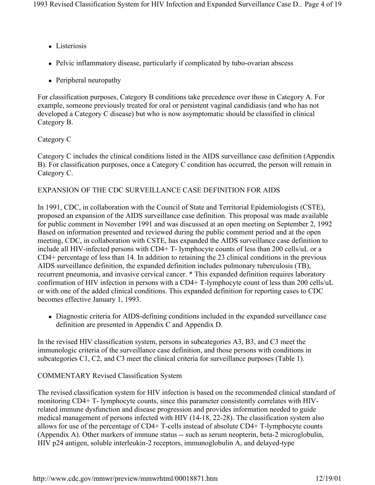- Listeriosis
- Pelvic inflammatory disease, particularly if complicated by tubo-ovarian abscess
- Peripheral neuropathy

For classification purposes, Category B conditions take precedence over those in Category A. For example, someone previously treated for oral or persistent vaginal candidiasis (and who has not developed a Category C disease) but who is now asymptomatic should be classified in clinical Category B.

## Category C

Category C includes the clinical conditions listed in the AIDS surveillance case definition (Appendix B). For classification purposes, once a Category C condition has occurred, the person will remain in Category C.

## EXPANSION OF THE CDC SURVEILLANCE CASE DEFINITION FOR AIDS

In 1991, CDC, in collaboration with the Council of State and Territorial Epidemiologists (CSTE), proposed an expansion of the AIDS surveillance case definition. This proposal was made available for public comment in November 1991 and was discussed at an open meeting on September 2, 1992 Based on information presented and reviewed during the public comment period and at the open meeting, CDC, in collaboration with CSTE, has expanded the AIDS surveillance case definition to include all HIV-infected persons with CD4+ T- lymphocyte counts of less than 200 cells/uL or a CD4+ percentage of less than 14. In addition to retaining the 23 clinical conditions in the previous AIDS surveillance definition, the expanded definition includes pulmonary tuberculosis (TB), recurrent pneumonia, and invasive cervical cancer. \* This expanded definition requires laboratory confirmation of HIV infection in persons with a CD4+ T-lymphocyte count of less than 200 cells/uL or with one of the added clinical conditions. This expanded definition for reporting cases to CDC becomes effective January 1, 1993.

 Diagnostic criteria for AIDS-defining conditions included in the expanded surveillance case definition are presented in Appendix C and Appendix D.

In the revised HIV classification system, persons in subcategories A3, B3, and C3 meet the immunologic criteria of the surveillance case definition, and those persons with conditions in subcategories C1, C2, and C3 meet the clinical criteria for surveillance purposes (Table 1).

# COMMENTARY Revised Classification System

The revised classification system for HIV infection is based on the recommended clinical standard of monitoring CD4+ T- lymphocyte counts, since this parameter consistently correlates with HIVrelated immune dysfunction and disease progression and provides information needed to guide medical management of persons infected with HIV (14-18, 22-28). The classification system also allows for use of the percentage of CD4+ T-cells instead of absolute CD4+ T-lymphocyte counts (Appendix A). Other markers of immune status -- such as serum neopterin, beta-2 microglobulin, HIV p24 antigen, soluble interleukin-2 receptors, immunoglobulin A, and delayed-type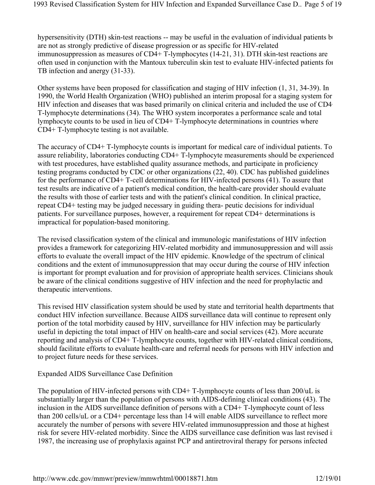hypersensitivity (DTH) skin-test reactions -- may be useful in the evaluation of individual patients but are not as strongly predictive of disease progression or as specific for HIV-related immunosuppression as measures of CD4+ T-lymphocytes (14-21, 31). DTH skin-test reactions are often used in conjunction with the Mantoux tuberculin skin test to evaluate HIV-infected patients for TB infection and anergy (31-33).

Other systems have been proposed for classification and staging of HIV infection (1, 31, 34-39). In 1990, the World Health Organization (WHO) published an interim proposal for a staging system for HIV infection and diseases that was based primarily on clinical criteria and included the use of CD4 T-lymphocyte determinations (34). The WHO system incorporates a performance scale and total lymphocyte counts to be used in lieu of CD4+ T-lymphocyte determinations in countries where CD4+ T-lymphocyte testing is not available.

The accuracy of CD4+ T-lymphocyte counts is important for medical care of individual patients. To assure reliability, laboratories conducting CD4+ T-lymphocyte measurements should be experienced with test procedures, have established quality assurance methods, and participate in proficiency testing programs conducted by CDC or other organizations (22, 40). CDC has published guidelines for the performance of CD4+ T-cell determinations for HIV-infected persons (41). To assure that test results are indicative of a patient's medical condition, the health-care provider should evaluate the results with those of earlier tests and with the patient's clinical condition. In clinical practice, repeat CD4+ testing may be judged necessary in guiding thera- peutic decisions for individual patients. For surveillance purposes, however, a requirement for repeat CD4+ determinations is impractical for population-based monitoring.

The revised classification system of the clinical and immunologic manifestations of HIV infection provides a framework for categorizing HIV-related morbidity and immunosuppression and will assis efforts to evaluate the overall impact of the HIV epidemic. Knowledge of the spectrum of clinical conditions and the extent of immunosuppression that may occur during the course of HIV infection is important for prompt evaluation and for provision of appropriate health services. Clinicians should be aware of the clinical conditions suggestive of HIV infection and the need for prophylactic and therapeutic interventions.

This revised HIV classification system should be used by state and territorial health departments that conduct HIV infection surveillance. Because AIDS surveillance data will continue to represent only portion of the total morbidity caused by HIV, surveillance for HIV infection may be particularly useful in depicting the total impact of HIV on health-care and social services (42). More accurate reporting and analysis of CD4+ T-lymphocyte counts, together with HIV-related clinical conditions, should facilitate efforts to evaluate health-care and referral needs for persons with HIV infection and to project future needs for these services.

## Expanded AIDS Surveillance Case Definition

The population of HIV-infected persons with CD4+ T-lymphocyte counts of less than 200/uL is substantially larger than the population of persons with AIDS-defining clinical conditions (43). The inclusion in the AIDS surveillance definition of persons with a CD4+ T-lymphocyte count of less than 200 cells/uL or a CD4+ percentage less than 14 will enable AIDS surveillance to reflect more accurately the number of persons with severe HIV-related immunosuppression and those at highest risk for severe HIV-related morbidity. Since the AIDS surveillance case definition was last revised in 1987, the increasing use of prophylaxis against PCP and antiretroviral therapy for persons infected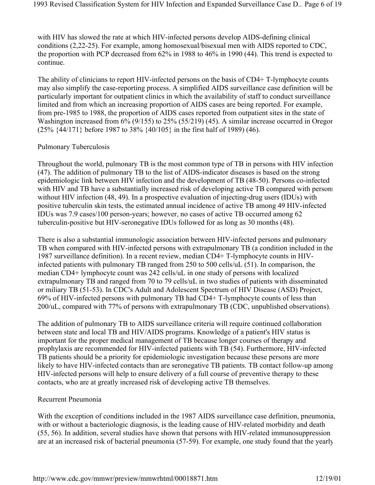with HIV has slowed the rate at which HIV-infected persons develop AIDS-defining clinical conditions (2,22-25). For example, among homosexual/bisexual men with AIDS reported to CDC, the proportion with PCP decreased from 62% in 1988 to 46% in 1990 (44). This trend is expected to continue.

The ability of clinicians to report HIV-infected persons on the basis of CD4+ T-lymphocyte counts may also simplify the case-reporting process. A simplified AIDS surveillance case definition will be particularly important for outpatient clinics in which the availability of staff to conduct surveillance i limited and from which an increasing proportion of AIDS cases are being reported. For example, from pre-1985 to 1988, the proportion of AIDS cases reported from outpatient sites in the state of Washington increased from 6% (9/155) to 25% (55/219) (45). A similar increase occurred in Oregon (25% {44/171} before 1987 to 38% {40/105} in the first half of 1989) (46).

#### Pulmonary Tuberculosis

Throughout the world, pulmonary TB is the most common type of TB in persons with HIV infection (47). The addition of pulmonary TB to the list of AIDS-indicator diseases is based on the strong epidemiologic link between HIV infection and the development of TB (48-50). Persons co-infected with HIV and TB have a substantially increased risk of developing active TB compared with persons without HIV infection (48, 49). In a prospective evaluation of injecting-drug users (IDUs) with positive tuberculin skin tests, the estimated annual incidence of active TB among 49 HIV-infected IDUs was 7.9 cases/100 person-years; however, no cases of active TB occurred among 62 tuberculin-positive but HIV-seronegative IDUs followed for as long as 30 months (48).

There is also a substantial immunologic association between HIV-infected persons and pulmonary TB when compared with HIV-infected persons with extrapulmonary TB (a condition included in the 1987 surveillance definition). In a recent review, median CD4+ T-lymphocyte counts in HIVinfected patients with pulmonary TB ranged from 250 to 500 cells/uL (51). In comparison, the median CD4+ lymphocyte count was 242 cells/uL in one study of persons with localized extrapulmonary TB and ranged from 70 to 79 cells/uL in two studies of patients with disseminated or miliary TB (51-53). In CDC's Adult and Adolescent Spectrum of HIV Disease (ASD) Project, 69% of HIV-infected persons with pulmonary TB had CD4+ T-lymphocyte counts of less than 200/uL, compared with 77% of persons with extrapulmonary TB (CDC, unpublished observations).

The addition of pulmonary TB to AIDS surveillance criteria will require continued collaboration between state and local TB and HIV/AIDS programs. Knowledge of a patient's HIV status is important for the proper medical management of TB because longer courses of therapy and prophylaxis are recommended for HIV-infected patients with TB (54). Furthermore, HIV-infected TB patients should be a priority for epidemiologic investigation because these persons are more likely to have HIV-infected contacts than are seronegative TB patients. TB contact follow-up among HIV-infected persons will help to ensure delivery of a full course of preventive therapy to these contacts, who are at greatly increased risk of developing active TB themselves.

#### Recurrent Pneumonia

With the exception of conditions included in the 1987 AIDS surveillance case definition, pneumonia, with or without a bacteriologic diagnosis, is the leading cause of HIV-related morbidity and death (55, 56). In addition, several studies have shown that persons with HIV-related immunosuppression are at an increased risk of bacterial pneumonia (57-59). For example, one study found that the yearly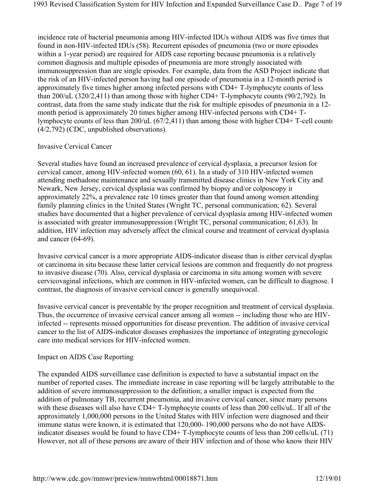incidence rate of bacterial pneumonia among HIV-infected IDUs without AIDS was five times that found in non-HIV-infected IDUs (58). Recurrent episodes of pneumonia (two or more episodes within a 1-year period) are required for AIDS case reporting because pneumonia is a relatively common diagnosis and multiple episodes of pneumonia are more strongly associated with immunosuppression than are single episodes. For example, data from the ASD Project indicate that the risk of an HIV-infected person having had one episode of pneumonia in a 12-month period is approximately five times higher among infected persons with CD4+ T-lymphocyte counts of less than 200/uL (320/2,411) than among those with higher CD4+ T-lymphocyte counts (90/2,792). In contrast, data from the same study indicate that the risk for multiple episodes of pneumonia in a 12 month period is approximately 20 times higher among HIV-infected persons with CD4+ Tlymphocyte counts of less than 200/uL (67/2,411) than among those with higher CD4+ T-cell counts (4/2,792) (CDC, unpublished observations).

## Invasive Cervical Cancer

Several studies have found an increased prevalence of cervical dysplasia, a precursor lesion for cervical cancer, among HIV-infected women (60, 61). In a study of 310 HIV-infected women attending methadone maintenance and sexually transmitted disease clinics in New York City and Newark, New Jersey, cervical dysplasia was confirmed by biopsy and/or colposcopy in approximately 22%, a prevalence rate 10 times greater than that found among women attending family planning clinics in the United States (Wright TC, personal communication; 62). Several studies have documented that a higher prevalence of cervical dysplasia among HIV-infected women is associated with greater immunosuppression (Wright TC, personal communication; 61,63). In addition, HIV infection may adversely affect the clinical course and treatment of cervical dysplasia and cancer (64-69).

Invasive cervical cancer is a more appropriate AIDS-indicator disease than is either cervical dysplasi or carcinoma in situ because these latter cervical lesions are common and frequently do not progress to invasive disease (70). Also, cervical dysplasia or carcinoma in situ among women with severe cervicovaginal infections, which are common in HIV-infected women, can be difficult to diagnose. I contrast, the diagnosis of invasive cervical cancer is generally unequivocal.

Invasive cervical cancer is preventable by the proper recognition and treatment of cervical dysplasia. Thus, the occurrence of invasive cervical cancer among all women -- including those who are HIVinfected -- represents missed opportunities for disease prevention. The addition of invasive cervical cancer to the list of AIDS-indicator diseases emphasizes the importance of integrating gynecologic care into medical services for HIV-infected women.

## Impact on AIDS Case Reporting

The expanded AIDS surveillance case definition is expected to have a substantial impact on the number of reported cases. The immediate increase in case reporting will be largely attributable to the addition of severe immunosuppression to the definition; a smaller impact is expected from the addition of pulmonary TB, recurrent pneumonia, and invasive cervical cancer, since many persons with these diseases will also have CD4+ T-lymphocyte counts of less than 200 cells/uL. If all of the approximately 1,000,000 persons in the United States with HIV infection were diagnosed and their immune status were known, it is estimated that 120,000- 190,000 persons who do not have AIDSindicator diseases would be found to have CD4+ T-lymphocyte counts of less than 200 cells/uL (71) However, not all of these persons are aware of their HIV infection and of those who know their HIV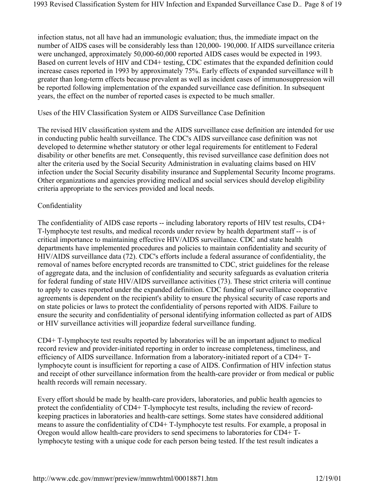infection status, not all have had an immunologic evaluation; thus, the immediate impact on the number of AIDS cases will be considerably less than 120,000- 190,000. If AIDS surveillance criteria were unchanged, approximately 50,000-60,000 reported AIDS cases would be expected in 1993. Based on current levels of HIV and CD4+ testing, CDC estimates that the expanded definition could increase cases reported in 1993 by approximately 75%. Early effects of expanded surveillance will b greater than long-term effects because prevalent as well as incident cases of immunosuppression will be reported following implementation of the expanded surveillance case definition. In subsequent years, the effect on the number of reported cases is expected to be much smaller.

#### Uses of the HIV Classification System or AIDS Surveillance Case Definition

The revised HIV classification system and the AIDS surveillance case definition are intended for use in conducting public health surveillance. The CDC's AIDS surveillance case definition was not developed to determine whether statutory or other legal requirements for entitlement to Federal disability or other benefits are met. Consequently, this revised surveillance case definition does not alter the criteria used by the Social Security Administration in evaluating claims based on HIV infection under the Social Security disability insurance and Supplemental Security Income programs. Other organizations and agencies providing medical and social services should develop eligibility criteria appropriate to the services provided and local needs.

#### Confidentiality

The confidentiality of AIDS case reports -- including laboratory reports of HIV test results, CD4+ T-lymphocyte test results, and medical records under review by health department staff -- is of critical importance to maintaining effective HIV/AIDS surveillance. CDC and state health departments have implemented procedures and policies to maintain confidentiality and security of HIV/AIDS surveillance data (72). CDC's efforts include a federal assurance of confidentiality, the removal of names before encrypted records are transmitted to CDC, strict guidelines for the release of aggregate data, and the inclusion of confidentiality and security safeguards as evaluation criteria for federal funding of state HIV/AIDS surveillance activities (73). These strict criteria will continue to apply to cases reported under the expanded definition. CDC funding of surveillance cooperative agreements is dependent on the recipient's ability to ensure the physical security of case reports and on state policies or laws to protect the confidentiality of persons reported with AIDS. Failure to ensure the security and confidentiality of personal identifying information collected as part of AIDS or HIV surveillance activities will jeopardize federal surveillance funding.

CD4+ T-lymphocyte test results reported by laboratories will be an important adjunct to medical record review and provider-initiated reporting in order to increase completeness, timeliness, and efficiency of AIDS surveillance. Information from a laboratory-initiated report of a CD4+ Tlymphocyte count is insufficient for reporting a case of AIDS. Confirmation of HIV infection status and receipt of other surveillance information from the health-care provider or from medical or public health records will remain necessary.

Every effort should be made by health-care providers, laboratories, and public health agencies to protect the confidentiality of CD4+ T-lymphocyte test results, including the review of recordkeeping practices in laboratories and health-care settings. Some states have considered additional means to assure the confidentiality of CD4+ T-lymphocyte test results. For example, a proposal in Oregon would allow health-care providers to send specimens to laboratories for CD4+ Tlymphocyte testing with a unique code for each person being tested. If the test result indicates a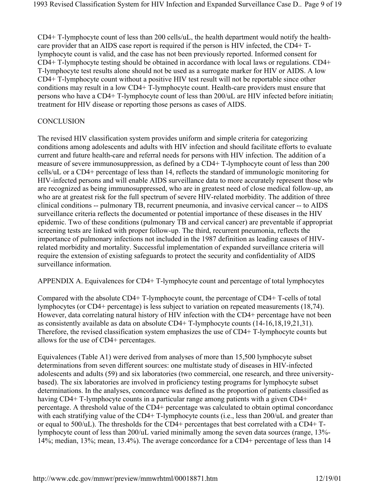CD4+ T-lymphocyte count of less than 200 cells/uL, the health department would notify the healthcare provider that an AIDS case report is required if the person is HIV infected, the CD4+ Tlymphocyte count is valid, and the case has not been previously reported. Informed consent for CD4+ T-lymphocyte testing should be obtained in accordance with local laws or regulations. CD4+ T-lymphocyte test results alone should not be used as a surrogate marker for HIV or AIDS. A low CD4+ T-lymphocyte count without a positive HIV test result will not be reportable since other conditions may result in a low CD4+ T-lymphocyte count. Health-care providers must ensure that persons who have a CD4+ T-lymphocyte count of less than 200/uL are HIV infected before initiating treatment for HIV disease or reporting those persons as cases of AIDS.

#### **CONCLUSION**

The revised HIV classification system provides uniform and simple criteria for categorizing conditions among adolescents and adults with HIV infection and should facilitate efforts to evaluate current and future health-care and referral needs for persons with HIV infection. The addition of a measure of severe immunosuppression, as defined by a CD4+ T-lymphocyte count of less than 200 cells/uL or a CD4+ percentage of less than 14, reflects the standard of immunologic monitoring for HIV-infected persons and will enable AIDS surveillance data to more accurately represent those who are recognized as being immunosuppressed, who are in greatest need of close medical follow-up, and who are at greatest risk for the full spectrum of severe HIV-related morbidity. The addition of three clinical conditions -- pulmonary TB, recurrent pneumonia, and invasive cervical cancer -- to AIDS surveillance criteria reflects the documented or potential importance of these diseases in the HIV epidemic. Two of these conditions (pulmonary TB and cervical cancer) are preventable if appropriat screening tests are linked with proper follow-up. The third, recurrent pneumonia, reflects the importance of pulmonary infections not included in the 1987 definition as leading causes of HIVrelated morbidity and mortality. Successful implementation of expanded surveillance criteria will require the extension of existing safeguards to protect the security and confidentiality of AIDS surveillance information.

APPENDIX A. Equivalences for CD4+ T-lymphocyte count and percentage of total lymphocytes

Compared with the absolute CD4+ T-lymphocyte count, the percentage of CD4+ T-cells of total lymphocytes (or CD4+ percentage) is less subject to variation on repeated measurements (18,74). However, data correlating natural history of HIV infection with the CD4+ percentage have not been as consistently available as data on absolute CD4+ T-lymphocyte counts (14-16,18,19,21,31). Therefore, the revised classification system emphasizes the use of CD4+ T-lymphocyte counts but allows for the use of CD4+ percentages.

Equivalences (Table A1) were derived from analyses of more than 15,500 lymphocyte subset determinations from seven different sources: one multistate study of diseases in HIV-infected adolescents and adults (59) and six laboratories (two commercial, one research, and three universitybased). The six laboratories are involved in proficiency testing programs for lymphocyte subset determinations. In the analyses, concordance was defined as the proportion of patients classified as having CD4+ T-lymphocyte counts in a particular range among patients with a given CD4+ percentage. A threshold value of the CD4+ percentage was calculated to obtain optimal concordance with each stratifying value of the CD4+ T-lymphocyte counts (i.e., less than 200/uL and greater than or equal to 500/uL). The thresholds for the CD4+ percentages that best correlated with a CD4+ Tlymphocyte count of less than 200/uL varied minimally among the seven data sources (range, 13%- 14%; median, 13%; mean, 13.4%). The average concordance for a CD4+ percentage of less than 14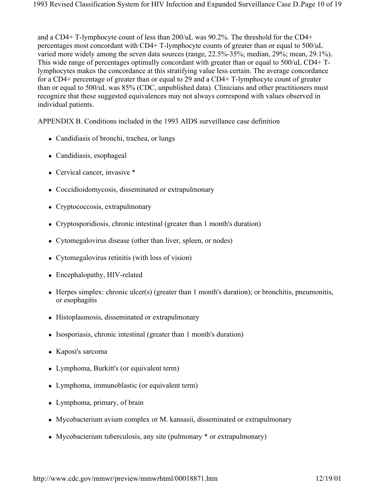and a CD4+ T-lymphocyte count of less than 200/uL was 90.2%. The threshold for the CD4+ percentages most concordant with CD4+ T-lymphocyte counts of greater than or equal to 500/uL varied more widely among the seven data sources (range, 22.5%-35%; median, 29%; mean, 29.1%). This wide range of percentages optimally concordant with greater than or equal to 500/uL CD4+ Tlymphocytes makes the concordance at this stratifying value less certain. The average concordance for a CD4+ percentage of greater than or equal to 29 and a CD4+ T-lymphocyte count of greater than or equal to 500/uL was 85% (CDC, unpublished data). Clinicians and other practitioners must recognize that these suggested equivalences may not always correspond with values observed in individual patients.

APPENDIX B. Conditions included in the 1993 AIDS surveillance case definition

- Candidiasis of bronchi, trachea, or lungs
- Candidiasis, esophageal
- Cervical cancer, invasive \*
- Coccidioidomycosis, disseminated or extrapulmonary
- Cryptococcosis, extrapulmonary
- Cryptosporidiosis, chronic intestinal (greater than 1 month's duration)
- Cytomegalovirus disease (other than liver, spleen, or nodes)
- Cytomegalovirus retinitis (with loss of vision)
- Encephalopathy, HIV-related
- Herpes simplex: chronic ulcer(s) (greater than 1 month's duration); or bronchitis, pneumonitis, or esophagitis
- Histoplasmosis, disseminated or extrapulmonary
- Isosporiasis, chronic intestinal (greater than 1 month's duration)
- Kaposi's sarcoma
- Lymphoma, Burkitt's (or equivalent term)
- Lymphoma, immunoblastic (or equivalent term)
- Lymphoma, primary, of brain
- Mycobacterium avium complex or M. kansasii, disseminated or extrapulmonary
- Mycobacterium tuberculosis, any site (pulmonary  $*$  or extrapulmonary)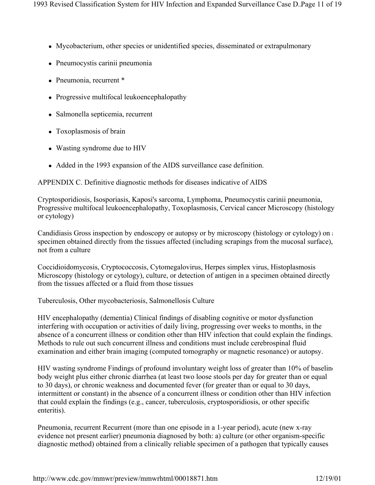- Mycobacterium, other species or unidentified species, disseminated or extrapulmonary
- Pneumocystis carinii pneumonia
- Pneumonia, recurrent \*
- Progressive multifocal leukoencephalopathy
- Salmonella septicemia, recurrent
- Toxoplasmosis of brain
- Wasting syndrome due to HIV
- Added in the 1993 expansion of the AIDS surveillance case definition.

APPENDIX C. Definitive diagnostic methods for diseases indicative of AIDS

Cryptosporidiosis, Isosporiasis, Kaposi's sarcoma, Lymphoma, Pneumocystis carinii pneumonia, Progressive multifocal leukoencephalopathy, Toxoplasmosis, Cervical cancer Microscopy (histology or cytology)

Candidiasis Gross inspection by endoscopy or autopsy or by microscopy (histology or cytology) on a specimen obtained directly from the tissues affected (including scrapings from the mucosal surface), not from a culture

Coccidioidomycosis, Cryptococcosis, Cytomegalovirus, Herpes simplex virus, Histoplasmosis Microscopy (histology or cytology), culture, or detection of antigen in a specimen obtained directly from the tissues affected or a fluid from those tissues

Tuberculosis, Other mycobacteriosis, Salmonellosis Culture

HIV encephalopathy (dementia) Clinical findings of disabling cognitive or motor dysfunction interfering with occupation or activities of daily living, progressing over weeks to months, in the absence of a concurrent illness or condition other than HIV infection that could explain the findings. Methods to rule out such concurrent illness and conditions must include cerebrospinal fluid examination and either brain imaging (computed tomography or magnetic resonance) or autopsy.

HIV wasting syndrome Findings of profound involuntary weight loss of greater than 10% of baseline body weight plus either chronic diarrhea (at least two loose stools per day for greater than or equal to 30 days), or chronic weakness and documented fever (for greater than or equal to 30 days, intermittent or constant) in the absence of a concurrent illness or condition other than HIV infection that could explain the findings (e.g., cancer, tuberculosis, cryptosporidiosis, or other specific enteritis).

Pneumonia, recurrent Recurrent (more than one episode in a 1-year period), acute (new x-ray evidence not present earlier) pneumonia diagnosed by both: a) culture (or other organism-specific diagnostic method) obtained from a clinically reliable specimen of a pathogen that typically causes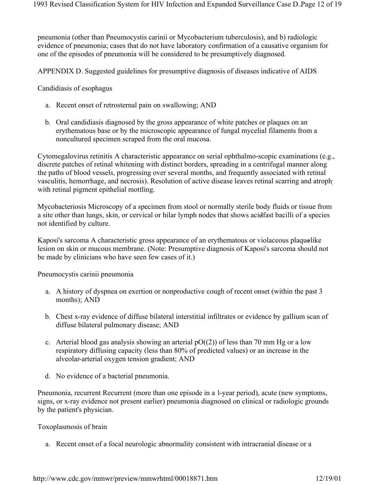pneumonia (other than Pneumocystis carinii or Mycobacterium tuberculosis), and b) radiologic evidence of pneumonia; cases that do not have laboratory confirmation of a causative organism for one of the episodes of pneumonia will be considered to be presumptively diagnosed.

APPENDIX D. Suggested guidelines for presumptive diagnosis of diseases indicative of AIDS

Candidiasis of esophagus

- a. Recent onset of retrosternal pain on swallowing; AND
- b. Oral candidiasis diagnosed by the gross appearance of white patches or plaques on an erythematous base or by the microscopic appearance of fungal mycelial filaments from a noncultured specimen scraped from the oral mucosa.

Cytomegalovirus retinitis A characteristic appearance on serial ophthalmo-scopic examinations (e.g., discrete patches of retinal whitening with distinct borders, spreading in a centrifugal manner along the paths of blood vessels, progressing over several months, and frequently associated with retinal vasculitis, hemorrhage, and necrosis). Resolution of active disease leaves retinal scarring and atrophy with retinal pigment epithelial mottling.

Mycobacteriosis Microscopy of a specimen from stool or normally sterile body fluids or tissue from a site other than lungs, skin, or cervical or hilar lymph nodes that shows acidfast bacilli of a species not identified by culture.

Kaposi's sarcoma A characteristic gross appearance of an erythematous or violaceous plaquelike lesion on skin or mucous membrane. (Note: Presumptive diagnosis of Kaposi's sarcoma should not be made by clinicians who have seen few cases of it.)

Pneumocystis carinii pneumonia

- a. A history of dyspnea on exertion or nonproductive cough of recent onset (within the past 3 months); AND
- b. Chest x-ray evidence of diffuse bilateral interstitial infiltrates or evidence by gallium scan of diffuse bilateral pulmonary disease; AND
- c. Arterial blood gas analysis showing an arterial  $pO((2))$  of less than 70 mm Hg or a low respiratory diffusing capacity (less than 80% of predicted values) or an increase in the alveolar-arterial oxygen tension gradient; AND
- d. No evidence of a bacterial pneumonia.

Pneumonia, recurrent Recurrent (more than one episode in a 1-year period), acute (new symptoms, signs, or x-ray evidence not present earlier) pneumonia diagnosed on clinical or radiologic grounds by the patient's physician.

Toxoplasmosis of brain

a. Recent onset of a focal neurologic abnormality consistent with intracranial disease or a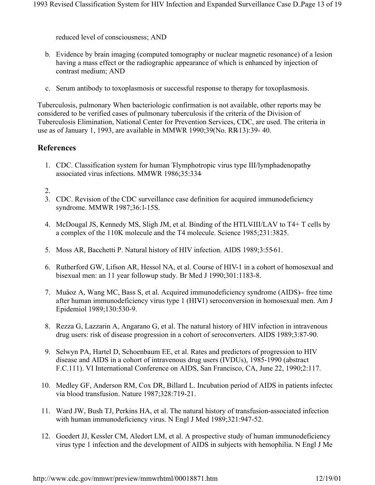reduced level of consciousness; AND

- b. Evidence by brain imaging (computed tomography or nuclear magnetic resonance) of a lesion having a mass effect or the radiographic appearance of which is enhanced by injection of contrast medium; AND
- c. Serum antibody to toxoplasmosis or successful response to therapy for toxoplasmosis.

Tuberculosis, pulmonary When bacteriologic confirmation is not available, other reports may be considered to be verified cases of pulmonary tuberculosis if the criteria of the Division of Tuberculosis Elimination, National Center for Prevention Services, CDC, are used. The criteria in use as of January 1, 1993, are available in MMWR 1990;39(No. RR-13):39- 40.

# **References**

- 1. CDC. Classification system for human Tlymphotropic virus type III/lymphadenopathyassociated virus infections. MMWR 1986;35:334-
- 2.
- 3. CDC. Revision of the CDC surveillance case definition for acquired immunodeficiency syndrome. MMWR 1987;36:1-15S.
- 4. McDougal JS, Kennedy MS, Sligh JM, et al. Binding of the HTLV-III/LAV to T4+ T cells by a complex of the 110K molecule and the T4 molecule. Science 1985;231:3825.
- 5. Moss AR, Bacchetti P. Natural history of HIV infection. AIDS 1989;3:55-61.
- 6. Rutherford GW, Lifson AR, Hessol NA, et al. Course of HIV-1 in a cohort of homosexual and bisexual men: an 11 year follow-up study. Br Med J 1990;301:1183-8.
- 7. Muåoz A, Wang MC, Bass S, et al. Acquired immunodeficiency syndrome (AIDS)-free time after human immunodeficiency virus type 1 (HIV1) seroconversion in homosexual men. Am J Epidemiol 1989;130:530-9.
- 8. Rezza G, Lazzarin A, Angarano G, et al. The natural history of HIV infection in intravenous drug users: risk of disease progression in a cohort of seroconverters. AIDS 1989;3:87-90.
- 9. Selwyn PA, Hartel D, Schoenbaum EE, et al. Rates and predictors of progression to HIV disease and AIDS in a cohort of intravenous drug users (IVDUs), 1985-1990 (abstract F.C.111). VI International Conference on AIDS, San Francisco, CA, June 22, 1990;2:117.
- 10. Medley GF, Anderson RM, Cox DR, Billard L. Incubation period of AIDS in patients infected via blood transfusion. Nature 1987;328:719-21.
- 11. Ward JW, Bush TJ, Perkins HA, et al. The natural history of transfusion-associated infection with human immunodeficiency virus. N Engl J Med 1989;321:947-52.
- 12. Goedert JJ, Kessler CM, Aledort LM, et al. A prospective study of human immunodeficiency virus type 1 infection and the development of AIDS in subjects with hemophilia. N Engl J Me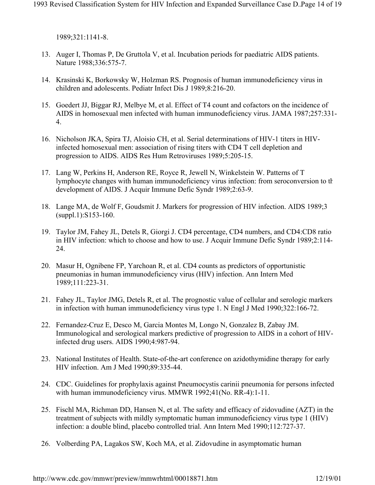1989;321:1141-8.

- 13. Auger I, Thomas P, De Gruttola V, et al. Incubation periods for paediatric AIDS patients. Nature 1988;336:575-7.
- 14. Krasinski K, Borkowsky W, Holzman RS. Prognosis of human immunodeficiency virus in children and adolescents. Pediatr Infect Dis J 1989;8:216-20.
- 15. Goedert JJ, Biggar RJ, Melbye M, et al. Effect of T4 count and cofactors on the incidence of AIDS in homosexual men infected with human immunodeficiency virus. JAMA 1987;257:331- 4.
- 16. Nicholson JKA, Spira TJ, Aloisio CH, et al. Serial determinations of HIV-1 titers in HIVinfected homosexual men: association of rising titers with CD4 T cell depletion and progression to AIDS. AIDS Res Hum Retroviruses 1989;5:205-15.
- 17. Lang W, Perkins H, Anderson RE, Royce R, Jewell N, Winkelstein W. Patterns of T lymphocyte changes with human immunodeficiency virus infection: from seroconversion to th development of AIDS. J Acquir Immune Defic Syndr 1989;2:63-9.
- 18. Lange MA, de Wolf F, Goudsmit J. Markers for progression of HIV infection. AIDS 1989;3 (suppl.1):S153-160.
- 19. Taylor JM, Fahey JL, Detels R, Giorgi J. CD4 percentage, CD4 numbers, and CD4:CD8 ratio in HIV infection: which to choose and how to use. J Acquir Immune Defic Syndr 1989;2:114- 24.
- 20. Masur H, Ognibene FP, Yarchoan R, et al. CD4 counts as predictors of opportunistic pneumonias in human immunodeficiency virus (HIV) infection. Ann Intern Med 1989;111:223-31.
- 21. Fahey JL, Taylor JMG, Detels R, et al. The prognostic value of cellular and serologic markers in infection with human immunodeficiency virus type 1. N Engl J Med 1990;322:166-72.
- 22. Fernandez-Cruz E, Desco M, Garcia Montes M, Longo N, Gonzalez B, Zabay JM. Immunological and serological markers predictive of progression to AIDS in a cohort of HIVinfected drug users. AIDS 1990;4:987-94.
- 23. National Institutes of Health. State-of-the-art conference on azidothymidine therapy for early HIV infection. Am J Med 1990;89:335-44.
- 24. CDC. Guidelines for prophylaxis against Pneumocystis carinii pneumonia for persons infected with human immunodeficiency virus. MMWR 1992;41(No. RR-4):1-11.
- 25. Fischl MA, Richman DD, Hansen N, et al. The safety and efficacy of zidovudine (AZT) in the treatment of subjects with mildly symptomatic human immunodeficiency virus type 1 (HIV) infection: a double blind, placebo controlled trial. Ann Intern Med 1990;112:727-37.
- 26. Volberding PA, Lagakos SW, Koch MA, et al. Zidovudine in asymptomatic human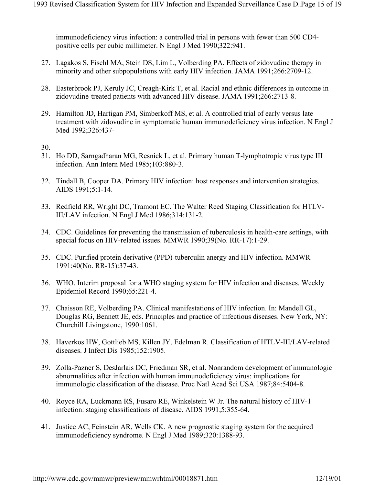immunodeficiency virus infection: a controlled trial in persons with fewer than 500 CD4 positive cells per cubic millimeter. N Engl J Med 1990;322:941.

- 27. Lagakos S, Fischl MA, Stein DS, Lim L, Volberding PA. Effects of zidovudine therapy in minority and other subpopulations with early HIV infection. JAMA 1991;266:2709-12.
- 28. Easterbrook PJ, Keruly JC, Creagh-Kirk T, et al. Racial and ethnic differences in outcome in zidovudine-treated patients with advanced HIV disease. JAMA 1991;266:2713-8.
- 29. Hamilton JD, Hartigan PM, Simberkoff MS, et al. A controlled trial of early versus late treatment with zidovudine in symptomatic human immunodeficiency virus infection. N Engl J Med 1992;326:437-
- 30.
- 31. Ho DD, Sarngadharan MG, Resnick L, et al. Primary human T-lymphotropic virus type III infection. Ann Intern Med 1985;103:880-3.
- 32. Tindall B, Cooper DA. Primary HIV infection: host responses and intervention strategies. AIDS 1991;5:1-14.
- 33. Redfield RR, Wright DC, Tramont EC. The Walter Reed Staging Classification for HTLV-III/LAV infection. N Engl J Med 1986;314:131-2.
- 34. CDC. Guidelines for preventing the transmission of tuberculosis in health-care settings, with special focus on HIV-related issues. MMWR 1990;39(No. RR-17):1-29.
- 35. CDC. Purified protein derivative (PPD)-tuberculin anergy and HIV infection. MMWR 1991;40(No. RR-15):37-43.
- 36. WHO. Interim proposal for a WHO staging system for HIV infection and diseases. Weekly Epidemiol Record 1990;65:221-4.
- 37. Chaisson RE, Volberding PA. Clinical manifestations of HIV infection. In: Mandell GL, Douglas RG, Bennett JE, eds. Principles and practice of infectious diseases. New York, NY: Churchill Livingstone, 1990:1061.
- 38. Haverkos HW, Gottlieb MS, Killen JY, Edelman R. Classification of HTLV-III/LAV-related diseases. J Infect Dis 1985;152:1905.
- 39. Zolla-Pazner S, DesJarlais DC, Friedman SR, et al. Nonrandom development of immunologic abnormalities after infection with human immunodeficiency virus: implications for immunologic classification of the disease. Proc Natl Acad Sci USA 1987;84:5404-8.
- 40. Royce RA, Luckmann RS, Fusaro RE, Winkelstein W Jr. The natural history of HIV-1 infection: staging classifications of disease. AIDS 1991;5:355-64.
- 41. Justice AC, Feinstein AR, Wells CK. A new prognostic staging system for the acquired immunodeficiency syndrome. N Engl J Med 1989;320:1388-93.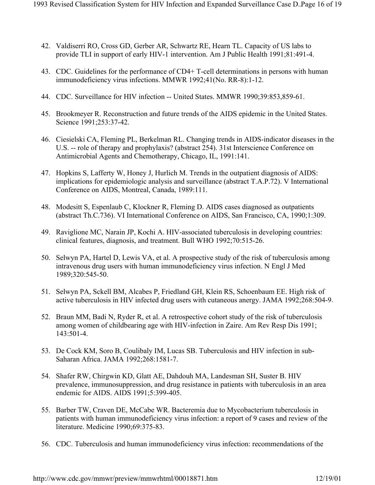- 42. Valdiserri RO, Cross GD, Gerber AR, Schwartz RE, Hearn TL. Capacity of US labs to provide TLI in support of early HIV-1 intervention. Am J Public Health 1991;81:491-4.
- 43. CDC. Guidelines for the performance of CD4+ T-cell determinations in persons with human immunodeficiency virus infections. MMWR 1992;41(No. RR-8):1-12.
- 44. CDC. Surveillance for HIV infection -- United States. MMWR 1990;39:853,859-61.
- 45. Brookmeyer R. Reconstruction and future trends of the AIDS epidemic in the United States. Science 1991;253:37-42.
- 46. Ciesielski CA, Fleming PL, Berkelman RL. Changing trends in AIDS-indicator diseases in the U.S. -- role of therapy and prophylaxis? (abstract 254). 31st Interscience Conference on Antimicrobial Agents and Chemotherapy, Chicago, IL, 1991:141.
- 47. Hopkins S, Lafferty W, Honey J, Hurlich M. Trends in the outpatient diagnosis of AIDS: implications for epidemiologic analysis and surveillance (abstract T.A.P.72). V International Conference on AIDS, Montreal, Canada, 1989:111.
- 48. Modesitt S, Espenlaub C, Klockner R, Fleming D. AIDS cases diagnosed as outpatients (abstract Th.C.736). VI International Conference on AIDS, San Francisco, CA, 1990;1:309.
- 49. Raviglione MC, Narain JP, Kochi A. HIV-associated tuberculosis in developing countries: clinical features, diagnosis, and treatment. Bull WHO 1992;70:515-26.
- 50. Selwyn PA, Hartel D, Lewis VA, et al. A prospective study of the risk of tuberculosis among intravenous drug users with human immunodeficiency virus infection. N Engl J Med 1989;320:545-50.
- 51. Selwyn PA, Sckell BM, Alcabes P, Friedland GH, Klein RS, Schoenbaum EE. High risk of active tuberculosis in HIV infected drug users with cutaneous anergy. JAMA 1992;268:504-9.
- 52. Braun MM, Badi N, Ryder R, et al. A retrospective cohort study of the risk of tuberculosis among women of childbearing age with HIV-infection in Zaire. Am Rev Resp Dis 1991; 143:501-4.
- 53. De Cock KM, Soro B, Coulibaly IM, Lucas SB. Tuberculosis and HIV infection in sub-Saharan Africa. JAMA 1992;268:1581-7.
- 54. Shafer RW, Chirgwin KD, Glatt AE, Dahdouh MA, Landesman SH, Suster B. HIV prevalence, immunosuppression, and drug resistance in patients with tuberculosis in an area endemic for AIDS. AIDS 1991;5:399-405.
- 55. Barber TW, Craven DE, McCabe WR. Bacteremia due to Mycobacterium tuberculosis in patients with human immunodeficiency virus infection: a report of 9 cases and review of the literature. Medicine 1990;69:375-83.
- 56. CDC. Tuberculosis and human immunodeficiency virus infection: recommendations of the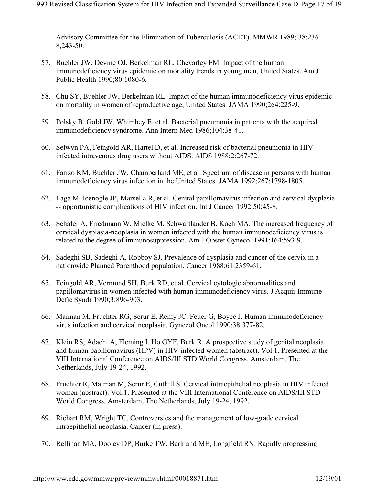Advisory Committee for the Elimination of Tuberculosis (ACET). MMWR 1989; 38:236- 8,243-50.

- 57. Buehler JW, Devine OJ, Berkelman RL, Chevarley FM. Impact of the human immunodeficiency virus epidemic on mortality trends in young men, United States. Am J Public Health 1990;80:1080-6.
- 58. Chu SY, Buehler JW, Berkelman RL. Impact of the human immunodeficiency virus epidemic on mortality in women of reproductive age, United States. JAMA 1990;264:225-9.
- 59. Polsky B, Gold JW, Whimbey E, et al. Bacterial pneumonia in patients with the acquired immunodeficiency syndrome. Ann Intern Med 1986;104:38-41.
- 60. Selwyn PA, Feingold AR, Hartel D, et al. Increased risk of bacterial pneumonia in HIVinfected intravenous drug users without AIDS. AIDS 1988;2:267-72.
- 61. Farizo KM, Buehler JW, Chamberland ME, et al. Spectrum of disease in persons with human immunodeficiency virus infection in the United States. JAMA 1992;267:1798-1805.
- 62. Laga M, Icenogle JP, Marsella R, et al. Genital papillomavirus infection and cervical dysplasia -- opportunistic complications of HIV infection. Int J Cancer 1992;50:45-8.
- 63. Schafer A, Friedmann W, Mielke M, Schwartlander B, Koch MA. The increased frequency of cervical dysplasia-neoplasia in women infected with the human immunodeficiency virus is related to the degree of immunosuppression. Am J Obstet Gynecol 1991;164:593-9.
- 64. Sadeghi SB, Sadeghi A, Robboy SJ. Prevalence of dysplasia and cancer of the cervix in a nationwide Planned Parenthood population. Cancer 1988;61:2359-61.
- 65. Feingold AR, Vermund SH, Burk RD, et al. Cervical cytologic abnormalities and papillomavirus in women infected with human immunodeficiency virus. J Acquir Immune Defic Syndr 1990;3:896-903.
- 66. Maiman M, Fruchter RG, Serur E, Remy JC, Feuer G, Boyce J. Human immunodeficiency virus infection and cervical neoplasia. Gynecol Oncol 1990;38:377-82.
- 67. Klein RS, Adachi A, Fleming I, Ho GYF, Burk R. A prospective study of genital neoplasia and human papillomavirus (HPV) in HIV-infected women (abstract). Vol.1. Presented at the VIII International Conference on AIDS/III STD World Congress, Amsterdam, The Netherlands, July 19-24, 1992.
- 68. Fruchter R, Maiman M, Serur E, Cuthill S. Cervical intraepithelial neoplasia in HIV infected women (abstract). Vol.1. Presented at the VIII International Conference on AIDS/III STD World Congress, Amsterdam, The Netherlands, July 19-24, 1992.
- 69. Richart RM, Wright TC. Controversies and the management of low-grade cervical intraepithelial neoplasia. Cancer (in press).
- 70. Rellihan MA, Dooley DP, Burke TW, Berkland ME, Longfield RN. Rapidly progressing